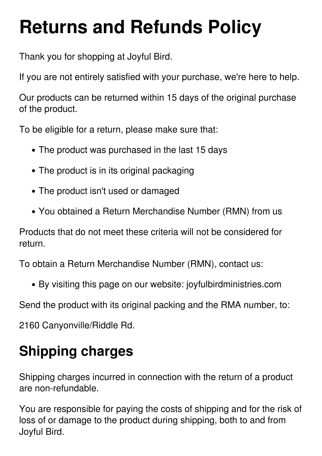# **Returns and Refunds Policy**

Thank you for shopping at Joyful Bird.

If you are not entirely satisfied with your purchase, we're here to help.

Our products can be returned within 15 days of the original purchase of the product.

To be eligible for a return, please make sure that:

- The product was purchased in the last 15 days
- The product is in its original packaging
- The product isn't used or damaged
- You obtained a Return Merchandise Number (RMN) from us

Products that do not meet these criteria will not be considered for return.

To obtain a Return Merchandise Number (RMN), contact us:

By visiting this page on our website: joyfulbirdministries.com

Send the product with its original packing and the RMA number, to:

2160 Canyonville/Riddle Rd.

## **Shipping charges**

Shipping charges incurred in connection with the return of a product are non-refundable.

You are responsible for paying the costs of shipping and for the risk of loss of or damage to the product during shipping, both to and from Joyful Bird.